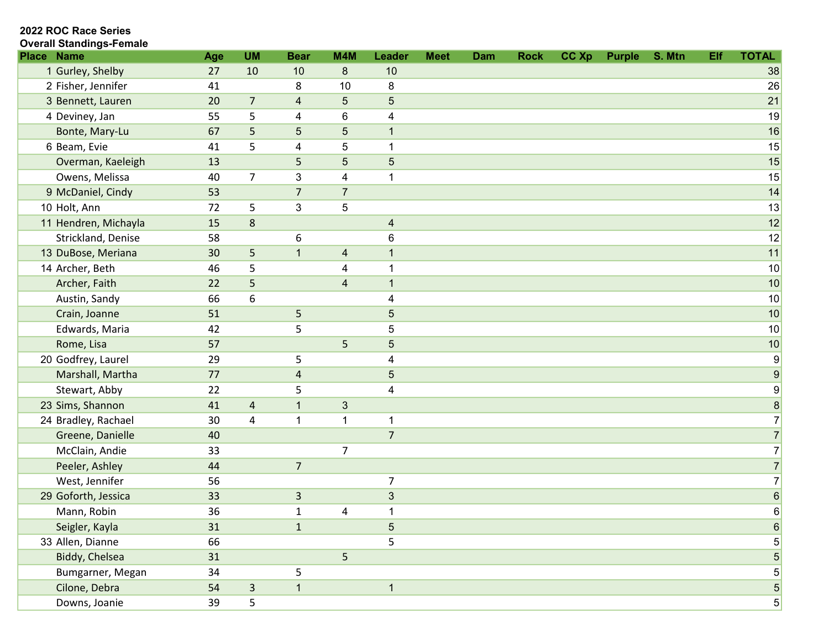| <b>Place Name</b>    | Age | <b>UM</b>               | <b>Bear</b>    | M4M                     | <b>Leader</b>           | <b>Meet</b> | Dam | <b>Rock</b> | CC Xp | <b>Purple</b> | S. Mtn | Elf | <b>TOTAL</b>     |
|----------------------|-----|-------------------------|----------------|-------------------------|-------------------------|-------------|-----|-------------|-------|---------------|--------|-----|------------------|
| 1 Gurley, Shelby     | 27  | 10                      | 10             | 8                       | 10                      |             |     |             |       |               |        |     | 38               |
| 2 Fisher, Jennifer   | 41  |                         | 8              | 10                      | 8                       |             |     |             |       |               |        |     | 26               |
| 3 Bennett, Lauren    | 20  | $\overline{7}$          | $\overline{4}$ | 5                       | $\sqrt{5}$              |             |     |             |       |               |        |     | 21               |
| 4 Deviney, Jan       | 55  | 5                       | 4              | 6                       | $\overline{\mathbf{4}}$ |             |     |             |       |               |        |     | 19               |
| Bonte, Mary-Lu       | 67  | 5                       | 5              | 5                       | $\mathbf{1}$            |             |     |             |       |               |        |     | 16               |
| 6 Beam, Evie         | 41  | 5                       | 4              | 5                       | $\mathbf{1}$            |             |     |             |       |               |        |     | 15               |
| Overman, Kaeleigh    | 13  |                         | 5              | 5                       | $\sqrt{5}$              |             |     |             |       |               |        |     | 15               |
| Owens, Melissa       | 40  | $\overline{7}$          | 3              | 4                       | $\mathbf{1}$            |             |     |             |       |               |        |     | 15               |
| 9 McDaniel, Cindy    | 53  |                         | $\overline{7}$ | $\overline{7}$          |                         |             |     |             |       |               |        |     | 14               |
| 10 Holt, Ann         | 72  | 5                       | 3              | 5                       |                         |             |     |             |       |               |        |     | 13               |
| 11 Hendren, Michayla | 15  | $\,8\,$                 |                |                         | $\overline{\mathbf{4}}$ |             |     |             |       |               |        |     | 12               |
| Strickland, Denise   | 58  |                         | 6              |                         | $\,6$                   |             |     |             |       |               |        |     | 12               |
| 13 DuBose, Meriana   | 30  | 5                       | $\overline{1}$ | $\overline{\mathbf{4}}$ | $\mathbf{1}$            |             |     |             |       |               |        |     | 11               |
| 14 Archer, Beth      | 46  | 5                       |                | 4                       | $\overline{1}$          |             |     |             |       |               |        |     | 10               |
| Archer, Faith        | 22  | 5                       |                | $\overline{\mathbf{4}}$ | $\overline{1}$          |             |     |             |       |               |        |     | 10               |
| Austin, Sandy        | 66  | 6                       |                |                         | $\overline{\mathbf{4}}$ |             |     |             |       |               |        |     | 10               |
| Crain, Joanne        | 51  |                         | 5              |                         | $\sqrt{5}$              |             |     |             |       |               |        |     | 10               |
| Edwards, Maria       | 42  |                         | 5              |                         | 5                       |             |     |             |       |               |        |     | 10               |
| Rome, Lisa           | 57  |                         |                | 5                       | $\overline{5}$          |             |     |             |       |               |        |     | 10               |
| 20 Godfrey, Laurel   | 29  |                         | 5              |                         | $\overline{4}$          |             |     |             |       |               |        |     | $\overline{9}$   |
| Marshall, Martha     | 77  |                         | 4              |                         | $\sqrt{5}$              |             |     |             |       |               |        |     | $\boldsymbol{9}$ |
| Stewart, Abby        | 22  |                         | 5              |                         | $\overline{4}$          |             |     |             |       |               |        |     | $\overline{9}$   |
| 23 Sims, Shannon     | 41  | $\overline{\mathbf{r}}$ | $\mathbf{1}$   | $\sqrt{3}$              |                         |             |     |             |       |               |        |     | $\bf 8$          |
| 24 Bradley, Rachael  | 30  | 4                       | $\mathbf{1}$   | $\mathbf 1$             | $\mathbf{1}$            |             |     |             |       |               |        |     | $\overline{7}$   |
| Greene, Danielle     | 40  |                         |                |                         | $\overline{7}$          |             |     |             |       |               |        |     | 7                |
| McClain, Andie       | 33  |                         |                | $\overline{7}$          |                         |             |     |             |       |               |        |     | $\overline{7}$   |
| Peeler, Ashley       | 44  |                         | $\overline{7}$ |                         |                         |             |     |             |       |               |        |     | 7                |
| West, Jennifer       | 56  |                         |                |                         | 7                       |             |     |             |       |               |        |     | $\overline{7}$   |
| 29 Goforth, Jessica  | 33  |                         | $\mathsf{3}$   |                         | $\sqrt{3}$              |             |     |             |       |               |        |     | 6                |
| Mann, Robin          | 36  |                         | $\mathbf{1}$   | $\overline{\mathbf{4}}$ | 1                       |             |     |             |       |               |        |     | $6 \overline{}$  |
| Seigler, Kayla       | 31  |                         | $\mathbf{1}$   |                         | $\sqrt{5}$              |             |     |             |       |               |        |     | 6                |
| 33 Allen, Dianne     | 66  |                         |                |                         | 5                       |             |     |             |       |               |        |     | $5\vert$         |
| Biddy, Chelsea       | 31  |                         |                | 5                       |                         |             |     |             |       |               |        |     | 5 <sup>5</sup>   |
| Bumgarner, Megan     | 34  |                         | 5              |                         |                         |             |     |             |       |               |        |     | 5                |
| Cilone, Debra        | 54  | $\overline{\mathbf{3}}$ | $\mathbf 1$    |                         | $\mathbf{1}$            |             |     |             |       |               |        |     | $5\vert$         |
| Downs, Joanie        | 39  | 5                       |                |                         |                         |             |     |             |       |               |        |     | $5\vert$         |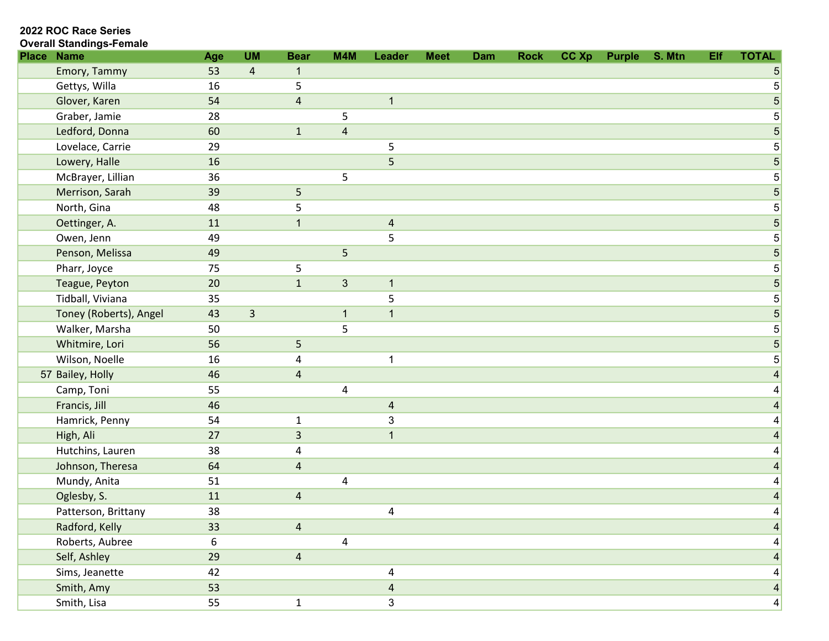| <b>Place</b> | <b>Name</b>            | Age | <b>UM</b>      | <b>Bear</b>    | M4M            | Leader                  | <b>Meet</b> | <b>Dam</b> | <b>Rock</b> | CC Xp | <b>Purple</b> | S. Mtn | Elf | <b>TOTAL</b>    |
|--------------|------------------------|-----|----------------|----------------|----------------|-------------------------|-------------|------------|-------------|-------|---------------|--------|-----|-----------------|
|              | Emory, Tammy           | 53  | $\overline{4}$ | $\mathbf{1}$   |                |                         |             |            |             |       |               |        |     | 5               |
|              | Gettys, Willa          | 16  |                | 5              |                |                         |             |            |             |       |               |        |     | $5\phantom{.0}$ |
|              | Glover, Karen          | 54  |                | $\sqrt{4}$     |                | $\mathbf{1}$            |             |            |             |       |               |        |     | 5               |
|              | Graber, Jamie          | 28  |                |                | 5              |                         |             |            |             |       |               |        |     | $5\overline{)}$ |
|              | Ledford, Donna         | 60  |                | $\mathbf 1$    | $\overline{4}$ |                         |             |            |             |       |               |        |     | $\sqrt{5}$      |
|              | Lovelace, Carrie       | 29  |                |                |                | 5                       |             |            |             |       |               |        |     | 5               |
|              | Lowery, Halle          | 16  |                |                |                | 5                       |             |            |             |       |               |        |     | 5 <sup>2</sup>  |
|              | McBrayer, Lillian      | 36  |                |                | 5              |                         |             |            |             |       |               |        |     | $5\phantom{.0}$ |
|              | Merrison, Sarah        | 39  |                | 5              |                |                         |             |            |             |       |               |        |     | $5\overline{)}$ |
|              | North, Gina            | 48  |                | 5              |                |                         |             |            |             |       |               |        |     | 5               |
|              | Oettinger, A.          | 11  |                | $\mathbf{1}$   |                | $\overline{\mathbf{4}}$ |             |            |             |       |               |        |     | 5 <sup>5</sup>  |
|              | Owen, Jenn             | 49  |                |                |                | 5                       |             |            |             |       |               |        |     | $5\overline{)}$ |
|              | Penson, Melissa        | 49  |                |                | 5              |                         |             |            |             |       |               |        |     | 5 <sup>5</sup>  |
|              | Pharr, Joyce           | 75  |                | 5              |                |                         |             |            |             |       |               |        |     | $\overline{5}$  |
|              | Teague, Peyton         | 20  |                | $\mathbf 1$    | $\mathfrak{S}$ | $\mathbf{1}$            |             |            |             |       |               |        |     | $5\overline{)}$ |
|              | Tidball, Viviana       | 35  |                |                |                | 5                       |             |            |             |       |               |        |     | $5\overline{)}$ |
|              | Toney (Roberts), Angel | 43  | 3              |                | $\mathbf{1}$   | $\overline{\mathbf{1}}$ |             |            |             |       |               |        |     | $\overline{5}$  |
|              | Walker, Marsha         | 50  |                |                | 5              |                         |             |            |             |       |               |        |     | $5 \vert$       |
|              | Whitmire, Lori         | 56  |                | 5              |                |                         |             |            |             |       |               |        |     | 5               |
|              | Wilson, Noelle         | 16  |                | 4              |                | 1                       |             |            |             |       |               |        |     | $5 \vert$       |
|              | 57 Bailey, Holly       | 46  |                | $\overline{4}$ |                |                         |             |            |             |       |               |        |     |                 |
|              | Camp, Toni             | 55  |                |                | 4              |                         |             |            |             |       |               |        |     |                 |
|              | Francis, Jill          | 46  |                |                |                | $\overline{\mathbf{r}}$ |             |            |             |       |               |        |     |                 |
|              | Hamrick, Penny         | 54  |                | $\mathbf{1}$   |                | $\mathbf 3$             |             |            |             |       |               |        |     |                 |
|              | High, Ali              | 27  |                | 3              |                | $\mathbf 1$             |             |            |             |       |               |        |     |                 |
|              | Hutchins, Lauren       | 38  |                | 4              |                |                         |             |            |             |       |               |        |     |                 |
|              | Johnson, Theresa       | 64  |                | $\overline{4}$ |                |                         |             |            |             |       |               |        |     |                 |
|              | Mundy, Anita           | 51  |                |                | 4              |                         |             |            |             |       |               |        |     | 4               |
|              | Oglesby, S.            | 11  |                | $\sqrt{4}$     |                |                         |             |            |             |       |               |        |     | 4               |
|              | Patterson, Brittany    | 38  |                |                |                | 4                       |             |            |             |       |               |        |     | 4               |
|              | Radford, Kelly         | 33  |                | $\overline{4}$ |                |                         |             |            |             |       |               |        |     |                 |
|              | Roberts, Aubree        | 6   |                |                | 4              |                         |             |            |             |       |               |        |     |                 |
|              | Self, Ashley           | 29  |                | $\overline{4}$ |                |                         |             |            |             |       |               |        |     | 4               |
|              | Sims, Jeanette         | 42  |                |                |                | 4                       |             |            |             |       |               |        |     | $\vert 4 \vert$ |
|              | Smith, Amy             | 53  |                |                |                | $\overline{\mathbf{4}}$ |             |            |             |       |               |        |     | $\vert 4 \vert$ |
|              | Smith, Lisa            | 55  |                | $\mathbf{1}$   |                | $\mathfrak{S}$          |             |            |             |       |               |        |     | $\vert 4 \vert$ |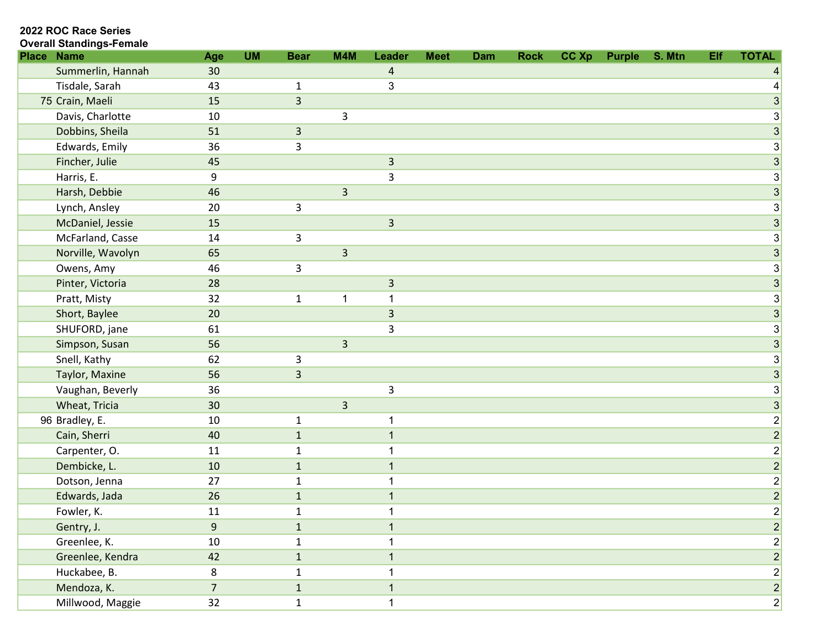| <b>Place</b> | <b>Name</b>       | Age              | <b>UM</b> | <b>Bear</b>    | M4M            | Leader         | <b>Meet</b> | Dam | <b>Rock</b> | CC Xp | <b>Purple</b> | S. Mtn | Elf | <b>TOTAL</b>                 |
|--------------|-------------------|------------------|-----------|----------------|----------------|----------------|-------------|-----|-------------|-------|---------------|--------|-----|------------------------------|
|              | Summerlin, Hannah | 30               |           |                |                | 4              |             |     |             |       |               |        |     |                              |
|              | Tisdale, Sarah    | 43               |           | $\mathbf{1}$   |                | 3              |             |     |             |       |               |        |     |                              |
|              | 75 Crain, Maeli   | 15               |           | $\overline{3}$ |                |                |             |     |             |       |               |        |     | $\mathbf{3}$                 |
|              | Davis, Charlotte  | 10               |           |                | 3              |                |             |     |             |       |               |        |     | $\lvert 3 \rvert$            |
|              | Dobbins, Sheila   | 51               |           | $\overline{3}$ |                |                |             |     |             |       |               |        |     | $\mathbf{3}$                 |
|              | Edwards, Emily    | 36               |           | 3              |                |                |             |     |             |       |               |        |     | $\mathbf{3}$                 |
|              | Fincher, Julie    | 45               |           |                |                | $\mathsf 3$    |             |     |             |       |               |        |     | 3                            |
|              | Harris, E.        | 9                |           |                |                | $\overline{3}$ |             |     |             |       |               |        |     | $\mathbf{3}$                 |
|              | Harsh, Debbie     | 46               |           |                | $\overline{3}$ |                |             |     |             |       |               |        |     | 3                            |
|              | Lynch, Ansley     | 20               |           | 3              |                |                |             |     |             |       |               |        |     | $\mathbf{3}$                 |
|              | McDaniel, Jessie  | 15               |           |                |                | $\overline{3}$ |             |     |             |       |               |        |     | 3                            |
|              | McFarland, Casse  | 14               |           | 3              |                |                |             |     |             |       |               |        |     | $\mathbf{3}$                 |
|              | Norville, Wavolyn | 65               |           |                | 3              |                |             |     |             |       |               |        |     | $\mathbf{3}$                 |
|              | Owens, Amy        | 46               |           | 3              |                |                |             |     |             |       |               |        |     | $\mathbf{3}$                 |
|              | Pinter, Victoria  | 28               |           |                |                | $\overline{3}$ |             |     |             |       |               |        |     | $\mathbf{3}$                 |
|              | Pratt, Misty      | 32               |           | $\mathbf{1}$   | 1              | 1              |             |     |             |       |               |        |     | $\mathbf{3}$                 |
|              | Short, Baylee     | 20               |           |                |                | $\overline{3}$ |             |     |             |       |               |        |     | 3                            |
|              | SHUFORD, jane     | 61               |           |                |                | 3              |             |     |             |       |               |        |     | $\mathbf{3}$                 |
|              | Simpson, Susan    | 56               |           |                | $\overline{3}$ |                |             |     |             |       |               |        |     | $\mathbf{3}$                 |
|              | Snell, Kathy      | 62               |           | $\mathsf{3}$   |                |                |             |     |             |       |               |        |     | $\mathbf{3}$                 |
|              | Taylor, Maxine    | 56               |           | $\overline{3}$ |                |                |             |     |             |       |               |        |     | 3                            |
|              | Vaughan, Beverly  | 36               |           |                |                | $\mathsf{3}$   |             |     |             |       |               |        |     | 3                            |
|              | Wheat, Tricia     | 30               |           |                | $\overline{3}$ |                |             |     |             |       |               |        |     | 3                            |
|              | 96 Bradley, E.    | 10               |           | $\mathbf{1}$   |                | $\mathbf 1$    |             |     |             |       |               |        |     | $\overline{2}$               |
|              | Cain, Sherri      | 40               |           | $\mathbf 1$    |                | $\mathbf 1$    |             |     |             |       |               |        |     | $\vert$ 2                    |
|              | Carpenter, O.     | 11               |           | $\mathbf{1}$   |                |                |             |     |             |       |               |        |     | $\mathbf{2}$                 |
|              | Dembicke, L.      | 10               |           | $\mathbf 1$    |                | $\mathbf{1}$   |             |     |             |       |               |        |     | $\overline{2}$               |
|              | Dotson, Jenna     | 27               |           | $\mathbf{1}$   |                |                |             |     |             |       |               |        |     | $\left  \frac{2}{2} \right $ |
|              | Edwards, Jada     | 26               |           | $\mathbf 1$    |                | $\mathbf{1}$   |             |     |             |       |               |        |     | $\overline{2}$               |
|              | Fowler, K.        | 11               |           | $\mathbf{1}$   |                | 1              |             |     |             |       |               |        |     | $\left 2\right $             |
|              | Gentry, J.        | $\boldsymbol{9}$ |           | $\mathbf{1}$   |                |                |             |     |             |       |               |        |     | $\left  \frac{2}{2} \right $ |
|              | Greenlee, K.      | 10               |           | $\mathbf{1}$   |                |                |             |     |             |       |               |        |     | $\left 2\right $             |
|              | Greenlee, Kendra  | 42               |           | $\mathbf{1}$   |                |                |             |     |             |       |               |        |     | $\vert$ 2                    |
|              | Huckabee, B.      | 8                |           | $\mathbf{1}$   |                |                |             |     |             |       |               |        |     | $\left  \frac{2}{2} \right $ |
|              | Mendoza, K.       | $\overline{7}$   |           | $\mathbf{1}$   |                | $\mathbf{1}$   |             |     |             |       |               |        |     | $\mathbf{2}$                 |
|              | Millwood, Maggie  | 32               |           | $\mathbf{1}$   |                | $\mathbf{1}$   |             |     |             |       |               |        |     | $2\vert$                     |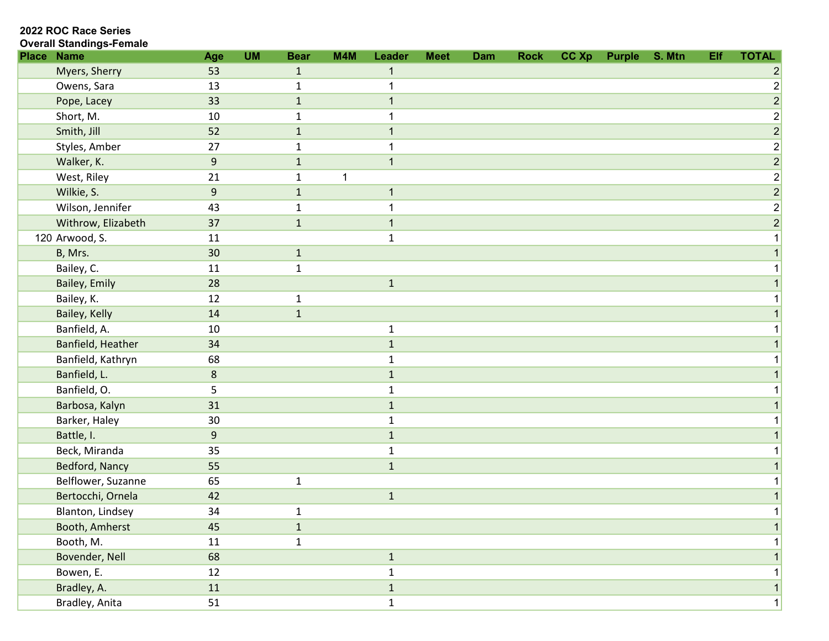2022 ROC Race Series

| <b>Place</b> | <b>Name</b>        | Age              | <b>UM</b> | <b>Bear</b>  | M4M | Leader       | <b>Meet</b> | Dam | <b>Rock</b> | CC Xp | Purple S. Mtn | Elf | <b>TOTAL</b>                 |
|--------------|--------------------|------------------|-----------|--------------|-----|--------------|-------------|-----|-------------|-------|---------------|-----|------------------------------|
|              | Myers, Sherry      | 53               |           | $\mathbf{1}$ |     |              |             |     |             |       |               |     |                              |
|              | Owens, Sara        | 13               |           | 1            |     | 1            |             |     |             |       |               |     | $\overline{2}$               |
|              | Pope, Lacey        | 33               |           | $1\,$        |     | $\mathbf{1}$ |             |     |             |       |               |     | $\overline{2}$               |
|              | Short, M.          | 10               |           | $\mathbf{1}$ |     |              |             |     |             |       |               |     | $\overline{2}$               |
|              | Smith, Jill        | 52               |           | $\mathbf 1$  |     | $\mathbf{1}$ |             |     |             |       |               |     | $\left  \frac{2}{2} \right $ |
|              | Styles, Amber      | 27               |           | 1            |     |              |             |     |             |       |               |     | $\left  \frac{2}{2} \right $ |
|              | Walker, K.         | $\boldsymbol{9}$ |           | $1\,$        |     | $\mathbf{1}$ |             |     |             |       |               |     | $\vert 2 \vert$              |
|              | West, Riley        | 21               |           | $\mathbf{1}$ |     |              |             |     |             |       |               |     | $\overline{2}$               |
|              | Wilkie, S.         | 9                |           | $\mathbf{1}$ |     | $\mathbf{1}$ |             |     |             |       |               |     | $\vert$ 2                    |
|              | Wilson, Jennifer   | 43               |           | $\mathbf 1$  |     | $\mathbf 1$  |             |     |             |       |               |     | $\mathbf{2}$                 |
|              | Withrow, Elizabeth | 37               |           | $1\,$        |     | $\mathbf{1}$ |             |     |             |       |               |     | $\left 2\right $             |
|              | 120 Arwood, S.     | 11               |           |              |     | $\mathbf{1}$ |             |     |             |       |               |     |                              |
|              | B, Mrs.            | 30               |           | $1\,$        |     |              |             |     |             |       |               |     |                              |
|              | Bailey, C.         | 11               |           | $\mathbf{1}$ |     |              |             |     |             |       |               |     |                              |
|              | Bailey, Emily      | 28               |           |              |     | $\mathbf 1$  |             |     |             |       |               |     |                              |
|              | Bailey, K.         | 12               |           | $\mathbf{1}$ |     |              |             |     |             |       |               |     |                              |
|              | Bailey, Kelly      | 14               |           | $\mathbf 1$  |     |              |             |     |             |       |               |     |                              |
|              | Banfield, A.       | 10               |           |              |     | $\mathbf{1}$ |             |     |             |       |               |     |                              |
|              | Banfield, Heather  | 34               |           |              |     | $1\,$        |             |     |             |       |               |     |                              |
|              | Banfield, Kathryn  | 68               |           |              |     | $\mathbf{1}$ |             |     |             |       |               |     |                              |
|              | Banfield, L.       | 8                |           |              |     | $\mathbf{1}$ |             |     |             |       |               |     |                              |
|              | Banfield, O.       | 5                |           |              |     | $\mathbf{1}$ |             |     |             |       |               |     |                              |
|              | Barbosa, Kalyn     | 31               |           |              |     | $1\,$        |             |     |             |       |               |     |                              |
|              | Barker, Haley      | 30               |           |              |     | $\mathbf{1}$ |             |     |             |       |               |     |                              |
|              | Battle, I.         | 9                |           |              |     | $1\,$        |             |     |             |       |               |     |                              |
|              | Beck, Miranda      | 35               |           |              |     | $\mathbf{1}$ |             |     |             |       |               |     |                              |
|              | Bedford, Nancy     | 55               |           |              |     | $\mathbf 1$  |             |     |             |       |               |     |                              |
|              | Belflower, Suzanne | 65               |           | $\mathbf{1}$ |     |              |             |     |             |       |               |     |                              |
|              | Bertocchi, Ornela  | 42               |           |              |     | $\mathbf 1$  |             |     |             |       |               |     |                              |
|              | Blanton, Lindsey   | 34               |           | $\mathbf{1}$ |     |              |             |     |             |       |               |     |                              |
|              | Booth, Amherst     | 45               |           | $1\,$        |     |              |             |     |             |       |               |     | 1                            |
|              | Booth, M.          | 11               |           | $\mathbf{1}$ |     |              |             |     |             |       |               |     |                              |
|              | Bovender, Nell     | 68               |           |              |     | $1\,$        |             |     |             |       |               |     | 1 <sup>1</sup>               |
|              | Bowen, E.          | 12               |           |              |     | $\mathbf 1$  |             |     |             |       |               |     |                              |
|              | Bradley, A.        | 11               |           |              |     | $1\,$        |             |     |             |       |               |     | 1                            |
|              | Bradley, Anita     | 51               |           |              |     | $\mathbf 1$  |             |     |             |       |               |     | 1                            |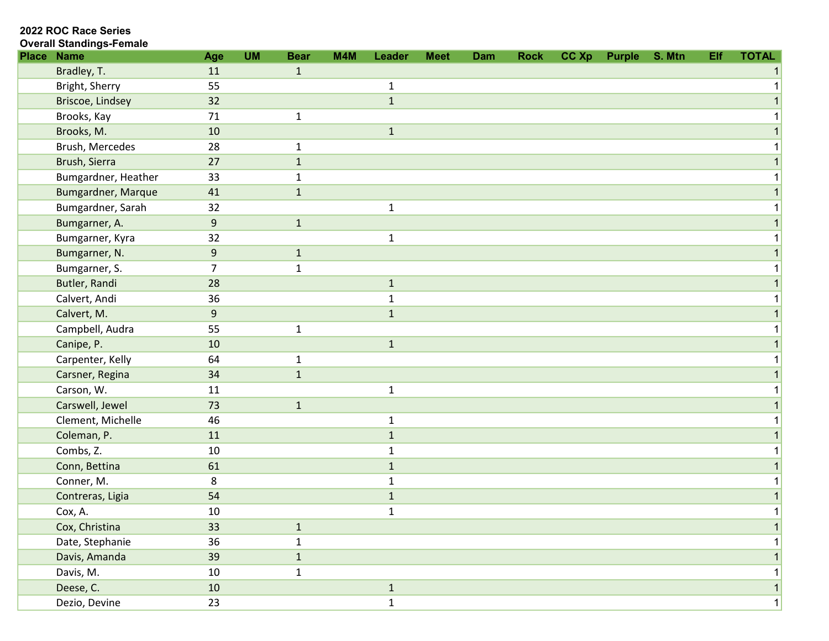| <b>Place</b> | <b>Name</b>               | Age            | <b>UM</b> | <b>Bear</b>  | M4M | Leader       | <b>Meet</b> | <b>Dam</b> | <b>Rock</b> | CC Xp | Purple | S. Mtn | Elf | <b>TOTAL</b> |
|--------------|---------------------------|----------------|-----------|--------------|-----|--------------|-------------|------------|-------------|-------|--------|--------|-----|--------------|
|              | Bradley, T.               | 11             |           | $\mathbf{1}$ |     |              |             |            |             |       |        |        |     |              |
|              | Bright, Sherry            | 55             |           |              |     | $\mathbf 1$  |             |            |             |       |        |        |     |              |
|              | Briscoe, Lindsey          | 32             |           |              |     | $\mathbf 1$  |             |            |             |       |        |        |     |              |
|              | Brooks, Kay               | 71             |           | $\mathbf{1}$ |     |              |             |            |             |       |        |        |     |              |
|              | Brooks, M.                | $10\,$         |           |              |     | $\mathbf 1$  |             |            |             |       |        |        |     |              |
|              | Brush, Mercedes           | 28             |           | 1            |     |              |             |            |             |       |        |        |     |              |
|              | Brush, Sierra             | 27             |           | $\mathbf{1}$ |     |              |             |            |             |       |        |        |     |              |
|              | Bumgardner, Heather       | 33             |           | $\mathbf{1}$ |     |              |             |            |             |       |        |        |     |              |
|              | <b>Bumgardner, Marque</b> | 41             |           | $\mathbf{1}$ |     |              |             |            |             |       |        |        |     |              |
|              | Bumgardner, Sarah         | 32             |           |              |     | $\mathbf 1$  |             |            |             |       |        |        |     |              |
|              | Bumgarner, A.             | 9              |           | $\mathbf{1}$ |     |              |             |            |             |       |        |        |     |              |
|              | Bumgarner, Kyra           | 32             |           |              |     | $\mathbf{1}$ |             |            |             |       |        |        |     |              |
|              | Bumgarner, N.             | $9\,$          |           | $\mathbf{1}$ |     |              |             |            |             |       |        |        |     |              |
|              | Bumgarner, S.             | $\overline{7}$ |           | $\mathbf 1$  |     |              |             |            |             |       |        |        |     |              |
|              | Butler, Randi             | 28             |           |              |     | $\mathbf 1$  |             |            |             |       |        |        |     |              |
|              | Calvert, Andi             | 36             |           |              |     | $\mathbf{1}$ |             |            |             |       |        |        |     |              |
|              | Calvert, M.               | 9              |           |              |     | $\mathbf 1$  |             |            |             |       |        |        |     |              |
|              | Campbell, Audra           | 55             |           | $\mathbf{1}$ |     |              |             |            |             |       |        |        |     |              |
|              | Canipe, P.                | 10             |           |              |     | $\mathbf{1}$ |             |            |             |       |        |        |     |              |
|              | Carpenter, Kelly          | 64             |           | $\mathbf{1}$ |     |              |             |            |             |       |        |        |     |              |
|              | Carsner, Regina           | 34             |           | $\mathbf{1}$ |     |              |             |            |             |       |        |        |     |              |
|              | Carson, W.                | 11             |           |              |     | $\mathbf 1$  |             |            |             |       |        |        |     |              |
|              | Carswell, Jewel           | 73             |           | $\mathbf{1}$ |     |              |             |            |             |       |        |        |     |              |
|              | Clement, Michelle         | 46             |           |              |     | $\mathbf{1}$ |             |            |             |       |        |        |     |              |
|              | Coleman, P.               | 11             |           |              |     | $\mathbf{1}$ |             |            |             |       |        |        |     |              |
|              | Combs, Z.                 | 10             |           |              |     | $\mathbf{1}$ |             |            |             |       |        |        |     |              |
|              | Conn, Bettina             | 61             |           |              |     | $\mathbf{1}$ |             |            |             |       |        |        |     |              |
|              | Conner, M.                | 8              |           |              |     | $\mathbf{1}$ |             |            |             |       |        |        |     |              |
|              | Contreras, Ligia          | 54             |           |              |     | $\mathbf 1$  |             |            |             |       |        |        |     |              |
|              | Cox, A.                   | 10             |           |              |     | $\mathbf{1}$ |             |            |             |       |        |        |     |              |
|              | Cox, Christina            | 33             |           | $\mathbf{1}$ |     |              |             |            |             |       |        |        |     |              |
|              | Date, Stephanie           | 36             |           | 1            |     |              |             |            |             |       |        |        |     |              |
|              | Davis, Amanda             | 39             |           | $\mathbf{1}$ |     |              |             |            |             |       |        |        |     |              |
|              | Davis, M.                 | 10             |           | $\mathbf{1}$ |     |              |             |            |             |       |        |        |     |              |
|              | Deese, C.                 | 10             |           |              |     | $\mathbf{1}$ |             |            |             |       |        |        |     | 1            |
|              | Dezio, Devine             | 23             |           |              |     | $\mathbf{1}$ |             |            |             |       |        |        |     | $\mathbf{1}$ |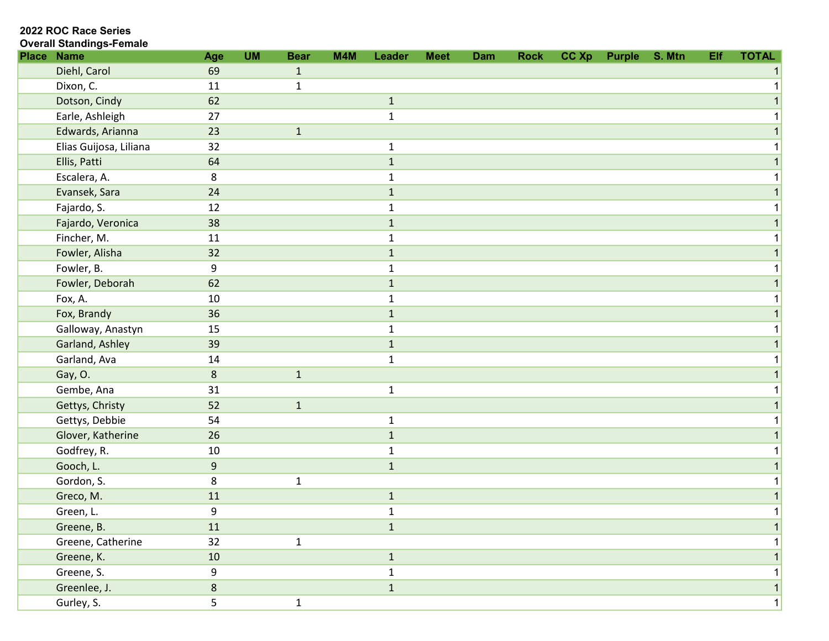| <b>Place</b> | <b>Name</b>            | Age            | <b>UM</b> | <b>Bear</b>  | M4M | Leader       | <b>Meet</b> | Dam | <b>Rock</b> | CC Xp | <b>Purple</b> | S. Mtn | Elf | <b>TOTAL</b> |
|--------------|------------------------|----------------|-----------|--------------|-----|--------------|-------------|-----|-------------|-------|---------------|--------|-----|--------------|
|              | Diehl, Carol           | 69             |           | $\mathbf{1}$ |     |              |             |     |             |       |               |        |     |              |
|              | Dixon, C.              | 11             |           | $\mathbf{1}$ |     |              |             |     |             |       |               |        |     |              |
|              | Dotson, Cindy          | 62             |           |              |     | $\mathbf{1}$ |             |     |             |       |               |        |     |              |
|              | Earle, Ashleigh        | 27             |           |              |     | $\mathbf 1$  |             |     |             |       |               |        |     |              |
|              | Edwards, Arianna       | 23             |           | $\mathbf{1}$ |     |              |             |     |             |       |               |        |     |              |
|              | Elias Guijosa, Liliana | 32             |           |              |     | $\mathbf 1$  |             |     |             |       |               |        |     |              |
|              | Ellis, Patti           | 64             |           |              |     | $\mathbf 1$  |             |     |             |       |               |        |     |              |
|              | Escalera, A.           | 8              |           |              |     | 1            |             |     |             |       |               |        |     |              |
|              | Evansek, Sara          | 24             |           |              |     | $1\,$        |             |     |             |       |               |        |     |              |
|              | Fajardo, S.            | 12             |           |              |     | 1            |             |     |             |       |               |        |     |              |
|              | Fajardo, Veronica      | 38             |           |              |     | $\mathbf{1}$ |             |     |             |       |               |        |     |              |
|              | Fincher, M.            | 11             |           |              |     | 1            |             |     |             |       |               |        |     |              |
|              | Fowler, Alisha         | 32             |           |              |     | $\mathbf{1}$ |             |     |             |       |               |        |     |              |
|              | Fowler, B.             | 9              |           |              |     | 1            |             |     |             |       |               |        |     |              |
|              | Fowler, Deborah        | 62             |           |              |     | $\mathbf{1}$ |             |     |             |       |               |        |     |              |
|              | Fox, A.                | 10             |           |              |     | $\mathbf{1}$ |             |     |             |       |               |        |     |              |
|              | Fox, Brandy            | 36             |           |              |     | $\mathbf{1}$ |             |     |             |       |               |        |     |              |
|              | Galloway, Anastyn      | 15             |           |              |     | 1            |             |     |             |       |               |        |     |              |
|              | Garland, Ashley        | 39             |           |              |     | $1\,$        |             |     |             |       |               |        |     |              |
|              | Garland, Ava           | 14             |           |              |     | $\mathbf{1}$ |             |     |             |       |               |        |     |              |
|              | Gay, O.                | $8\phantom{1}$ |           | $\mathbf{1}$ |     |              |             |     |             |       |               |        |     |              |
|              | Gembe, Ana             | 31             |           |              |     | $\mathbf{1}$ |             |     |             |       |               |        |     |              |
|              | Gettys, Christy        | 52             |           | $\mathbf{1}$ |     |              |             |     |             |       |               |        |     |              |
|              | Gettys, Debbie         | 54             |           |              |     | $\mathbf 1$  |             |     |             |       |               |        |     |              |
|              | Glover, Katherine      | 26             |           |              |     | $\mathbf{1}$ |             |     |             |       |               |        |     |              |
|              | Godfrey, R.            | 10             |           |              |     | $\mathbf{1}$ |             |     |             |       |               |        |     |              |
|              | Gooch, L.              | 9              |           |              |     | $\mathbf{1}$ |             |     |             |       |               |        |     |              |
|              | Gordon, S.             | 8              |           | $\mathbf 1$  |     |              |             |     |             |       |               |        |     |              |
|              | Greco, M.              | 11             |           |              |     | $\mathbf 1$  |             |     |             |       |               |        |     |              |
|              | Green, L.              | 9              |           |              |     | $\mathbf{1}$ |             |     |             |       |               |        |     | 1            |
|              | Greene, B.             | 11             |           |              |     | $\mathbf 1$  |             |     |             |       |               |        |     |              |
|              | Greene, Catherine      | 32             |           | $\mathbf{1}$ |     |              |             |     |             |       |               |        |     |              |
|              | Greene, K.             | 10             |           |              |     | $\mathbf 1$  |             |     |             |       |               |        |     |              |
|              | Greene, S.             | 9              |           |              |     | $\mathbf{1}$ |             |     |             |       |               |        |     |              |
|              | Greenlee, J.           | $8\phantom{.}$ |           |              |     | $\mathbf{1}$ |             |     |             |       |               |        |     |              |
|              | Gurley, S.             | 5              |           | $\mathbf 1$  |     |              |             |     |             |       |               |        |     | $1\vert$     |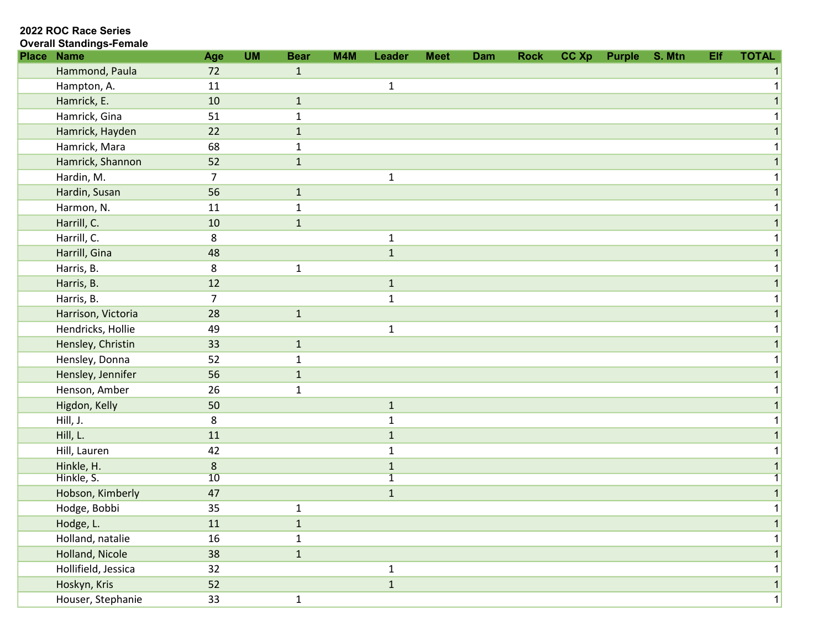| <b>Place</b> | <b>Name</b>         | Age    | <b>UM</b> | <b>Bear</b>  | M4M | Leader         | <b>Meet</b> | Dam | <b>Rock</b> | CC Xp | <b>Purple</b> | S. Mtn | Elf | <b>TOTAL</b> |
|--------------|---------------------|--------|-----------|--------------|-----|----------------|-------------|-----|-------------|-------|---------------|--------|-----|--------------|
|              | Hammond, Paula      | 72     |           | $\mathbf{1}$ |     |                |             |     |             |       |               |        |     |              |
|              | Hampton, A.         | 11     |           |              |     | $\mathbf{1}$   |             |     |             |       |               |        |     |              |
|              | Hamrick, E.         | 10     |           | $\mathbf{1}$ |     |                |             |     |             |       |               |        |     |              |
|              | Hamrick, Gina       | 51     |           | $\mathbf{1}$ |     |                |             |     |             |       |               |        |     |              |
|              | Hamrick, Hayden     | 22     |           | $\mathbf{1}$ |     |                |             |     |             |       |               |        |     |              |
|              | Hamrick, Mara       | 68     |           | 1            |     |                |             |     |             |       |               |        |     |              |
|              | Hamrick, Shannon    | 52     |           | $\mathbf 1$  |     |                |             |     |             |       |               |        |     |              |
|              | Hardin, M.          | 7      |           |              |     | $\mathbf{1}$   |             |     |             |       |               |        |     |              |
|              | Hardin, Susan       | 56     |           | $\mathbf{1}$ |     |                |             |     |             |       |               |        |     |              |
|              | Harmon, N.          | 11     |           | 1            |     |                |             |     |             |       |               |        |     |              |
|              | Harrill, C.         | 10     |           | $\mathbf{1}$ |     |                |             |     |             |       |               |        |     |              |
|              | Harrill, C.         | 8      |           |              |     | $\mathbf 1$    |             |     |             |       |               |        |     |              |
|              | Harrill, Gina       | 48     |           |              |     | $\mathbf{1}$   |             |     |             |       |               |        |     |              |
|              | Harris, B.          | 8      |           | $\mathbf{1}$ |     |                |             |     |             |       |               |        |     |              |
|              | Harris, B.          | 12     |           |              |     | $\mathbf{1}$   |             |     |             |       |               |        |     |              |
|              | Harris, B.          | 7      |           |              |     | $\mathbf{1}$   |             |     |             |       |               |        |     |              |
|              | Harrison, Victoria  | 28     |           | $\mathbf 1$  |     |                |             |     |             |       |               |        |     |              |
|              | Hendricks, Hollie   | 49     |           |              |     | $\mathbf 1$    |             |     |             |       |               |        |     |              |
|              | Hensley, Christin   | 33     |           | $\mathbf 1$  |     |                |             |     |             |       |               |        |     |              |
|              | Hensley, Donna      | 52     |           | $\mathbf{1}$ |     |                |             |     |             |       |               |        |     |              |
|              | Hensley, Jennifer   | 56     |           | $\mathbf{1}$ |     |                |             |     |             |       |               |        |     |              |
|              | Henson, Amber       | 26     |           | $\mathbf{1}$ |     |                |             |     |             |       |               |        |     |              |
|              | Higdon, Kelly       | 50     |           |              |     | $\mathbf{1}$   |             |     |             |       |               |        |     |              |
|              | Hill, J.            | 8      |           |              |     | $\mathbf{1}$   |             |     |             |       |               |        |     |              |
|              | Hill, L.            | 11     |           |              |     | $\mathbf{1}$   |             |     |             |       |               |        |     |              |
|              | Hill, Lauren        | 42     |           |              |     | $\mathbf{1}$   |             |     |             |       |               |        |     |              |
|              | Hinkle, H.          | 8      |           |              |     | $\mathbf{1}$   |             |     |             |       |               |        |     |              |
|              | Hinkle, S.          | 10     |           |              |     | $\overline{1}$ |             |     |             |       |               |        |     |              |
|              | Hobson, Kimberly    | 47     |           |              |     | $\mathbf{1}$   |             |     |             |       |               |        |     |              |
|              | Hodge, Bobbi        | 35     |           | $\mathbf{1}$ |     |                |             |     |             |       |               |        |     |              |
|              | Hodge, L.           | $11\,$ |           | $\mathbf{1}$ |     |                |             |     |             |       |               |        |     | 1            |
|              | Holland, natalie    | 16     |           | $\mathbf 1$  |     |                |             |     |             |       |               |        |     |              |
|              | Holland, Nicole     | 38     |           | $\mathbf{1}$ |     |                |             |     |             |       |               |        |     | 1            |
|              | Hollifield, Jessica | 32     |           |              |     | $\mathbf{1}$   |             |     |             |       |               |        |     | 1            |
|              | Hoskyn, Kris        | 52     |           |              |     | $\mathbf{1}$   |             |     |             |       |               |        |     | 1            |
|              | Houser, Stephanie   | 33     |           | $\mathbf{1}$ |     |                |             |     |             |       |               |        |     | 1            |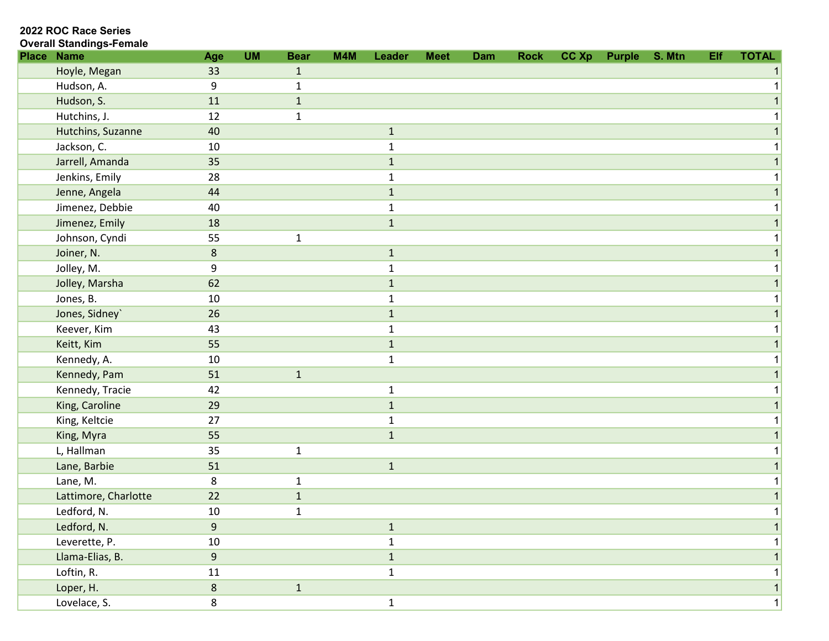| <b>Place</b> | <b>Name</b>          | Age            | <b>UM</b> | <b>Bear</b>  | M4M | Leader       | <b>Meet</b> | Dam | <b>Rock</b> | CC Xp | Purple | S. Mtn | Elf | <b>TOTAL</b> |
|--------------|----------------------|----------------|-----------|--------------|-----|--------------|-------------|-----|-------------|-------|--------|--------|-----|--------------|
|              | Hoyle, Megan         | 33             |           | $\mathbf{1}$ |     |              |             |     |             |       |        |        |     |              |
|              | Hudson, A.           | 9              |           | $\mathbf{1}$ |     |              |             |     |             |       |        |        |     |              |
|              | Hudson, S.           | 11             |           | $1\,$        |     |              |             |     |             |       |        |        |     |              |
|              | Hutchins, J.         | 12             |           | $\mathbf{1}$ |     |              |             |     |             |       |        |        |     |              |
|              | Hutchins, Suzanne    | 40             |           |              |     | $1\,$        |             |     |             |       |        |        |     |              |
|              | Jackson, C.          | 10             |           |              |     | 1            |             |     |             |       |        |        |     |              |
|              | Jarrell, Amanda      | 35             |           |              |     | $\mathbf{1}$ |             |     |             |       |        |        |     |              |
|              | Jenkins, Emily       | 28             |           |              |     | $\mathbf{1}$ |             |     |             |       |        |        |     |              |
|              | Jenne, Angela        | 44             |           |              |     | $\mathbf{1}$ |             |     |             |       |        |        |     |              |
|              | Jimenez, Debbie      | 40             |           |              |     | $\mathbf 1$  |             |     |             |       |        |        |     |              |
|              | Jimenez, Emily       | 18             |           |              |     | $1\,$        |             |     |             |       |        |        |     |              |
|              | Johnson, Cyndi       | 55             |           | $\mathbf 1$  |     |              |             |     |             |       |        |        |     |              |
|              | Joiner, N.           | 8              |           |              |     | $1\,$        |             |     |             |       |        |        |     |              |
|              | Jolley, M.           | 9              |           |              |     | $\mathbf 1$  |             |     |             |       |        |        |     |              |
|              | Jolley, Marsha       | 62             |           |              |     | $1\,$        |             |     |             |       |        |        |     |              |
|              | Jones, B.            | 10             |           |              |     | $\mathbf{1}$ |             |     |             |       |        |        |     |              |
|              | Jones, Sidney`       | 26             |           |              |     | $1\,$        |             |     |             |       |        |        |     |              |
|              | Keever, Kim          | 43             |           |              |     | $\mathbf{1}$ |             |     |             |       |        |        |     |              |
|              | Keitt, Kim           | 55             |           |              |     | $\mathbf{1}$ |             |     |             |       |        |        |     |              |
|              | Kennedy, A.          | 10             |           |              |     | $\mathbf{1}$ |             |     |             |       |        |        |     |              |
|              | Kennedy, Pam         | 51             |           | $\mathbf{1}$ |     |              |             |     |             |       |        |        |     |              |
|              | Kennedy, Tracie      | 42             |           |              |     | $\mathbf{1}$ |             |     |             |       |        |        |     |              |
|              | King, Caroline       | 29             |           |              |     | $\mathbf{1}$ |             |     |             |       |        |        |     |              |
|              | King, Keltcie        | 27             |           |              |     | $\mathbf{1}$ |             |     |             |       |        |        |     |              |
|              | King, Myra           | 55             |           |              |     | $\mathbf 1$  |             |     |             |       |        |        |     |              |
|              | L, Hallman           | 35             |           | $\mathbf 1$  |     |              |             |     |             |       |        |        |     |              |
|              | Lane, Barbie         | 51             |           |              |     | $\mathbf 1$  |             |     |             |       |        |        |     |              |
|              | Lane, M.             | 8              |           | $\mathbf{1}$ |     |              |             |     |             |       |        |        |     |              |
|              | Lattimore, Charlotte | 22             |           | $1\,$        |     |              |             |     |             |       |        |        |     |              |
|              | Ledford, N.          | 10             |           | $\mathbf{1}$ |     |              |             |     |             |       |        |        |     | 1            |
|              | Ledford, N.          | $\overline{9}$ |           |              |     | $1\,$        |             |     |             |       |        |        |     |              |
|              | Leverette, P.        | $10\,$         |           |              |     | $\mathbf{1}$ |             |     |             |       |        |        |     |              |
|              | Llama-Elias, B.      | $\overline{9}$ |           |              |     | $\mathbf 1$  |             |     |             |       |        |        |     |              |
|              | Loftin, R.           | $11\,$         |           |              |     | $\mathbf 1$  |             |     |             |       |        |        |     |              |
|              | Loper, H.            | $\bf 8$        |           | $\mathbf{1}$ |     |              |             |     |             |       |        |        |     |              |
|              | Lovelace, S.         | 8              |           |              |     | $\mathbf 1$  |             |     |             |       |        |        |     | $\mathbf{1}$ |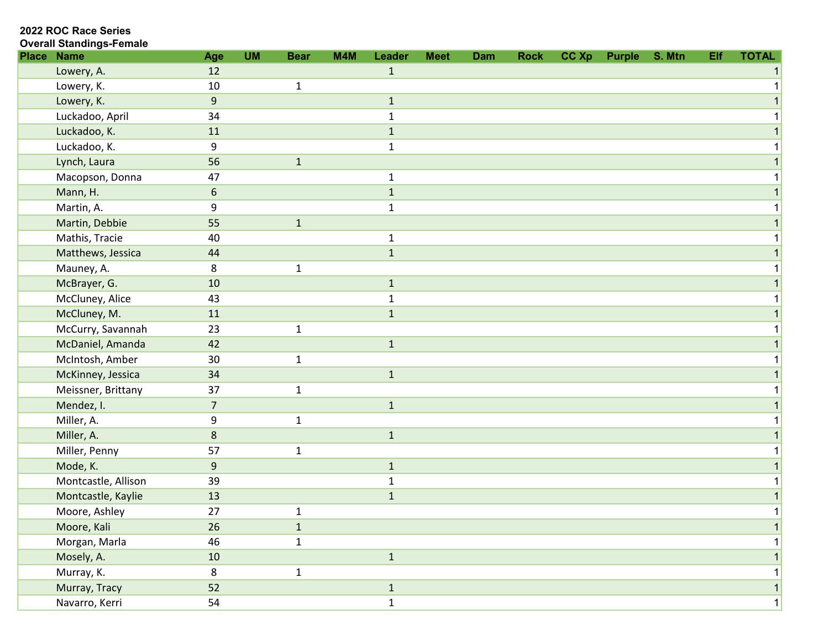2022 ROC Race Series

| <b>Place</b> | <b>Name</b>         | Age              | <b>UM</b> | <b>Bear</b>  | M4M | Leader       | <b>Meet</b> | Dam | <b>Rock</b> | CC Xp | <b>Purple</b> | S. Mtn | Elf | <b>TOTAL</b> |
|--------------|---------------------|------------------|-----------|--------------|-----|--------------|-------------|-----|-------------|-------|---------------|--------|-----|--------------|
|              | Lowery, A.          | 12               |           |              |     | $\mathbf{1}$ |             |     |             |       |               |        |     |              |
|              | Lowery, K.          | 10               |           | $\mathbf{1}$ |     |              |             |     |             |       |               |        |     |              |
|              | Lowery, K.          | 9                |           |              |     | $1\,$        |             |     |             |       |               |        |     |              |
|              | Luckadoo, April     | 34               |           |              |     | $\mathbf{1}$ |             |     |             |       |               |        |     |              |
|              | Luckadoo, K.        | 11               |           |              |     | $\mathbf 1$  |             |     |             |       |               |        |     |              |
|              | Luckadoo, K.        | 9                |           |              |     | $\mathbf{1}$ |             |     |             |       |               |        |     |              |
|              | Lynch, Laura        | 56               |           | $\mathbf{1}$ |     |              |             |     |             |       |               |        |     |              |
|              | Macopson, Donna     | 47               |           |              |     | $\mathbf{1}$ |             |     |             |       |               |        |     |              |
|              | Mann, H.            | $6\,$            |           |              |     | $\mathbf{1}$ |             |     |             |       |               |        |     |              |
|              | Martin, A.          | 9                |           |              |     | $\mathbf 1$  |             |     |             |       |               |        |     |              |
|              | Martin, Debbie      | 55               |           | $\mathbf 1$  |     |              |             |     |             |       |               |        |     |              |
|              | Mathis, Tracie      | 40               |           |              |     | $\mathbf{1}$ |             |     |             |       |               |        |     |              |
|              | Matthews, Jessica   | 44               |           |              |     | $\mathbf{1}$ |             |     |             |       |               |        |     |              |
|              | Mauney, A.          | 8                |           | $\mathbf{1}$ |     |              |             |     |             |       |               |        |     |              |
|              | McBrayer, G.        | 10               |           |              |     | $1\,$        |             |     |             |       |               |        |     |              |
|              | McCluney, Alice     | 43               |           |              |     | $\mathbf{1}$ |             |     |             |       |               |        |     |              |
|              | McCluney, M.        | 11               |           |              |     | $\mathbf 1$  |             |     |             |       |               |        |     |              |
|              | McCurry, Savannah   | 23               |           | $\mathbf{1}$ |     |              |             |     |             |       |               |        |     |              |
|              | McDaniel, Amanda    | 42               |           |              |     | $\mathbf{1}$ |             |     |             |       |               |        |     |              |
|              | McIntosh, Amber     | 30               |           | $\mathbf{1}$ |     |              |             |     |             |       |               |        |     |              |
|              | McKinney, Jessica   | 34               |           |              |     | $\mathbf 1$  |             |     |             |       |               |        |     |              |
|              | Meissner, Brittany  | 37               |           | $\mathbf 1$  |     |              |             |     |             |       |               |        |     |              |
|              | Mendez, I.          | $\overline{7}$   |           |              |     | $\mathbf{1}$ |             |     |             |       |               |        |     |              |
|              | Miller, A.          | 9                |           | $\mathbf{1}$ |     |              |             |     |             |       |               |        |     |              |
|              | Miller, A.          | 8                |           |              |     | $1\,$        |             |     |             |       |               |        |     |              |
|              | Miller, Penny       | 57               |           | $\mathbf 1$  |     |              |             |     |             |       |               |        |     |              |
|              | Mode, K.            | $\boldsymbol{9}$ |           |              |     | $1\,$        |             |     |             |       |               |        |     |              |
|              | Montcastle, Allison | 39               |           |              |     | $\mathbf{1}$ |             |     |             |       |               |        |     |              |
|              | Montcastle, Kaylie  | 13               |           |              |     | $\mathbf 1$  |             |     |             |       |               |        |     |              |
|              | Moore, Ashley       | 27               |           | $\mathbf{1}$ |     |              |             |     |             |       |               |        |     | 1            |
|              | Moore, Kali         | 26               |           | $\mathbf{1}$ |     |              |             |     |             |       |               |        |     |              |
|              | Morgan, Marla       | 46               |           | $\mathbf{1}$ |     |              |             |     |             |       |               |        |     |              |
|              | Mosely, A.          | 10               |           |              |     | $\mathbf{1}$ |             |     |             |       |               |        |     |              |
|              | Murray, K.          | 8                |           | $\mathbf 1$  |     |              |             |     |             |       |               |        |     |              |
|              | Murray, Tracy       | 52               |           |              |     | $\mathbf{1}$ |             |     |             |       |               |        |     |              |
|              | Navarro, Kerri      | 54               |           |              |     | $\mathbf{1}$ |             |     |             |       |               |        |     | 1            |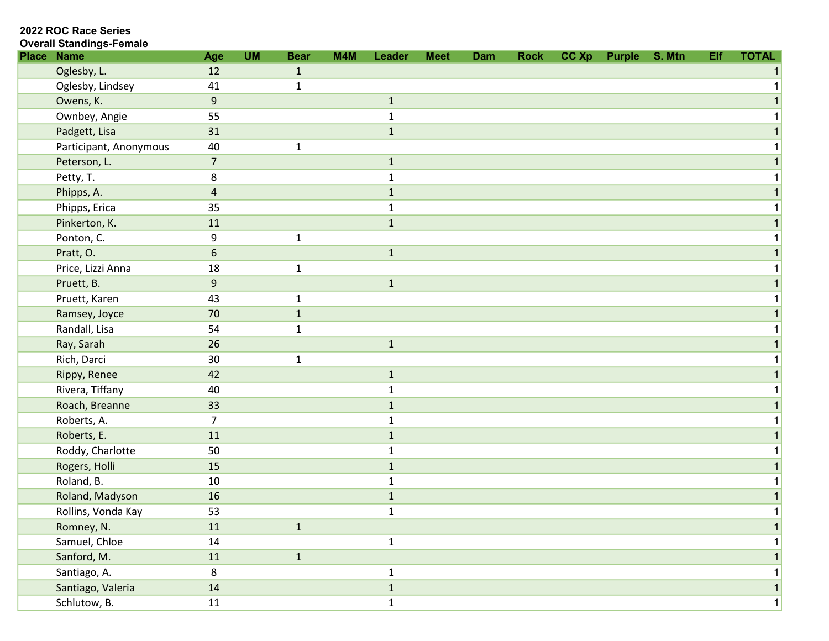| <b>Overall Standings-Female</b> |
|---------------------------------|
|                                 |

| <b>Place Name</b>      | Age            | <b>UM</b> | <b>Bear</b>  | M4M | Leader       | <b>Meet</b> | Dam | <b>Rock</b> | CC Xp | <b>Purple</b> | S. Mtn | Elf | <b>TOTAL</b> |
|------------------------|----------------|-----------|--------------|-----|--------------|-------------|-----|-------------|-------|---------------|--------|-----|--------------|
| Oglesby, L.            | 12             |           | $\mathbf{1}$ |     |              |             |     |             |       |               |        |     |              |
| Oglesby, Lindsey       | 41             |           | $\mathbf{1}$ |     |              |             |     |             |       |               |        |     |              |
| Owens, K.              | $\overline{9}$ |           |              |     | $\mathbf{1}$ |             |     |             |       |               |        |     |              |
| Ownbey, Angie          | 55             |           |              |     | 1            |             |     |             |       |               |        |     |              |
| Padgett, Lisa          | 31             |           |              |     | $\mathbf 1$  |             |     |             |       |               |        |     |              |
| Participant, Anonymous | 40             |           | $\mathbf{1}$ |     |              |             |     |             |       |               |        |     |              |
| Peterson, L.           | $\overline{7}$ |           |              |     | $1\,$        |             |     |             |       |               |        |     |              |
| Petty, T.              | 8              |           |              |     | $\mathbf{1}$ |             |     |             |       |               |        |     |              |
| Phipps, A.             | 4              |           |              |     | $\mathbf{1}$ |             |     |             |       |               |        |     |              |
| Phipps, Erica          | 35             |           |              |     | $\mathbf{1}$ |             |     |             |       |               |        |     |              |
| Pinkerton, K.          | 11             |           |              |     | $\mathbf 1$  |             |     |             |       |               |        |     |              |
| Ponton, C.             | 9              |           | $\mathbf 1$  |     |              |             |     |             |       |               |        |     |              |
| Pratt, O.              | 6              |           |              |     | $\mathbf 1$  |             |     |             |       |               |        |     |              |
| Price, Lizzi Anna      | 18             |           | $\mathbf{1}$ |     |              |             |     |             |       |               |        |     |              |
| Pruett, B.             | $\overline{9}$ |           |              |     | $\mathbf 1$  |             |     |             |       |               |        |     |              |
| Pruett, Karen          | 43             |           | $\mathbf{1}$ |     |              |             |     |             |       |               |        |     |              |
| Ramsey, Joyce          | 70             |           | $\mathbf 1$  |     |              |             |     |             |       |               |        |     |              |
| Randall, Lisa          | 54             |           | 1            |     |              |             |     |             |       |               |        |     |              |
| Ray, Sarah             | 26             |           |              |     | $\mathbf{1}$ |             |     |             |       |               |        |     |              |
| Rich, Darci            | 30             |           | $\mathbf{1}$ |     |              |             |     |             |       |               |        |     |              |
| Rippy, Renee           | 42             |           |              |     | $\mathbf{1}$ |             |     |             |       |               |        |     |              |
| Rivera, Tiffany        | 40             |           |              |     | $\mathbf 1$  |             |     |             |       |               |        |     |              |
| Roach, Breanne         | 33             |           |              |     | $\mathbf 1$  |             |     |             |       |               |        |     |              |
| Roberts, A.            | $\overline{7}$ |           |              |     | $\mathbf{1}$ |             |     |             |       |               |        |     |              |
| Roberts, E.            | 11             |           |              |     | 1            |             |     |             |       |               |        |     |              |
| Roddy, Charlotte       | 50             |           |              |     | 1            |             |     |             |       |               |        |     |              |
| Rogers, Holli          | 15             |           |              |     | $\mathbf{1}$ |             |     |             |       |               |        |     |              |
| Roland, B.             | 10             |           |              |     | 1            |             |     |             |       |               |        |     |              |
| Roland, Madyson        | 16             |           |              |     | $\mathbf 1$  |             |     |             |       |               |        |     |              |
| Rollins, Vonda Kay     | 53             |           |              |     | $\mathbf 1$  |             |     |             |       |               |        |     | 1            |
| Romney, N.             | 11             |           | $\mathbf{1}$ |     |              |             |     |             |       |               |        |     |              |
| Samuel, Chloe          | 14             |           |              |     | $\mathbf{1}$ |             |     |             |       |               |        |     |              |
| Sanford, M.            | 11             |           | $\mathbf{1}$ |     |              |             |     |             |       |               |        |     |              |
| Santiago, A.           | $\bf 8$        |           |              |     | $\mathbf{1}$ |             |     |             |       |               |        |     |              |
| Santiago, Valeria      | 14             |           |              |     | $\mathbf 1$  |             |     |             |       |               |        |     |              |
| Schlutow, B.           | 11             |           |              |     | $\mathbf{1}$ |             |     |             |       |               |        |     | 1            |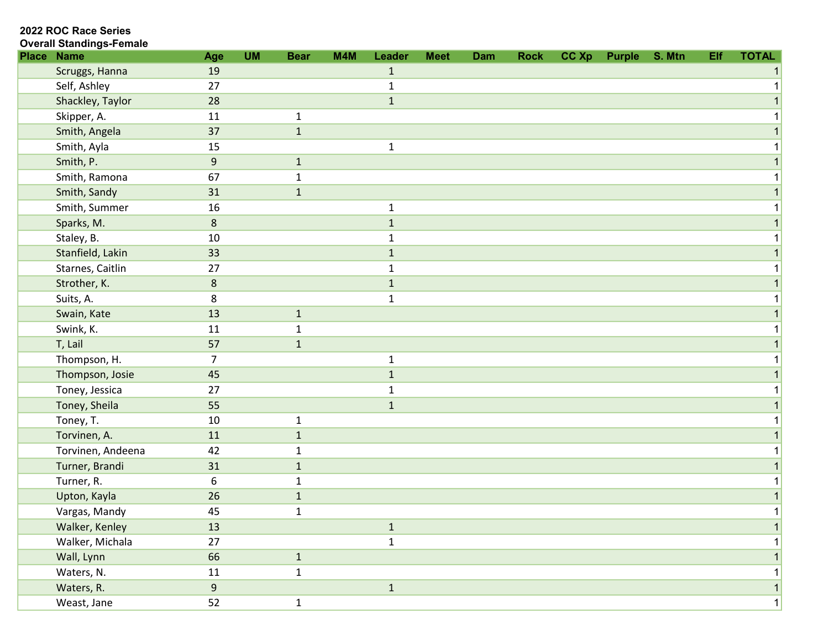2022 ROC Race Series

| <b>Place Name</b> | Age            | <b>UM</b> | <b>Bear</b>  | M4M | Leader       | <b>Meet</b> | <b>Dam</b> | <b>Rock</b> | CC Xp | Purple | S. Mtn | Elf | <b>TOTAL</b> |
|-------------------|----------------|-----------|--------------|-----|--------------|-------------|------------|-------------|-------|--------|--------|-----|--------------|
| Scruggs, Hanna    | 19             |           |              |     | $\mathbf{1}$ |             |            |             |       |        |        |     |              |
| Self, Ashley      | 27             |           |              |     | $\mathbf 1$  |             |            |             |       |        |        |     |              |
| Shackley, Taylor  | 28             |           |              |     | $\mathbf 1$  |             |            |             |       |        |        |     |              |
| Skipper, A.       | 11             |           | $\mathbf{1}$ |     |              |             |            |             |       |        |        |     |              |
| Smith, Angela     | 37             |           | $\mathbf 1$  |     |              |             |            |             |       |        |        |     |              |
| Smith, Ayla       | 15             |           |              |     | $\mathbf{1}$ |             |            |             |       |        |        |     |              |
| Smith, P.         | $9\,$          |           | $\mathbf 1$  |     |              |             |            |             |       |        |        |     |              |
| Smith, Ramona     | 67             |           | $\mathbf{1}$ |     |              |             |            |             |       |        |        |     |              |
| Smith, Sandy      | 31             |           | $\mathbf{1}$ |     |              |             |            |             |       |        |        |     |              |
| Smith, Summer     | 16             |           |              |     | $\mathbf 1$  |             |            |             |       |        |        |     |              |
| Sparks, M.        | $\bf 8$        |           |              |     | $\mathbf{1}$ |             |            |             |       |        |        |     |              |
| Staley, B.        | 10             |           |              |     | $\mathbf{1}$ |             |            |             |       |        |        |     |              |
| Stanfield, Lakin  | 33             |           |              |     | $\mathbf{1}$ |             |            |             |       |        |        |     |              |
| Starnes, Caitlin  | 27             |           |              |     | $\mathbf{1}$ |             |            |             |       |        |        |     |              |
| Strother, K.      | $\bf 8$        |           |              |     | $\mathbf 1$  |             |            |             |       |        |        |     |              |
| Suits, A.         | 8              |           |              |     | $\mathbf 1$  |             |            |             |       |        |        |     |              |
| Swain, Kate       | 13             |           | $\mathbf 1$  |     |              |             |            |             |       |        |        |     |              |
| Swink, K.         | 11             |           | $\mathbf{1}$ |     |              |             |            |             |       |        |        |     |              |
| T, Lail           | 57             |           | $\mathbf{1}$ |     |              |             |            |             |       |        |        |     |              |
| Thompson, H.      | 7              |           |              |     | $\mathbf{1}$ |             |            |             |       |        |        |     |              |
| Thompson, Josie   | 45             |           |              |     | $\mathbf 1$  |             |            |             |       |        |        |     |              |
| Toney, Jessica    | 27             |           |              |     | $\mathbf{1}$ |             |            |             |       |        |        |     |              |
| Toney, Sheila     | 55             |           |              |     | $\mathbf{1}$ |             |            |             |       |        |        |     |              |
| Toney, T.         | 10             |           | $\mathbf{1}$ |     |              |             |            |             |       |        |        |     |              |
| Torvinen, A.      | 11             |           | $\mathbf{1}$ |     |              |             |            |             |       |        |        |     |              |
| Torvinen, Andeena | 42             |           | $\mathbf{1}$ |     |              |             |            |             |       |        |        |     |              |
| Turner, Brandi    | 31             |           | $\mathbf{1}$ |     |              |             |            |             |       |        |        |     |              |
| Turner, R.        | 6              |           | $\mathbf{1}$ |     |              |             |            |             |       |        |        |     |              |
| Upton, Kayla      | 26             |           | $\mathbf 1$  |     |              |             |            |             |       |        |        |     |              |
| Vargas, Mandy     | 45             |           | $\mathbf{1}$ |     |              |             |            |             |       |        |        |     |              |
| Walker, Kenley    | 13             |           |              |     | $\mathbf 1$  |             |            |             |       |        |        |     |              |
| Walker, Michala   | 27             |           |              |     | $\mathbf{1}$ |             |            |             |       |        |        |     |              |
| Wall, Lynn        | 66             |           | $\mathbf{1}$ |     |              |             |            |             |       |        |        |     |              |
| Waters, N.        | 11             |           | $\mathbf{1}$ |     |              |             |            |             |       |        |        |     |              |
| Waters, R.        | $\overline{9}$ |           |              |     | $\mathbf{1}$ |             |            |             |       |        |        |     |              |
| Weast, Jane       | 52             |           | $\mathbf{1}$ |     |              |             |            |             |       |        |        |     |              |